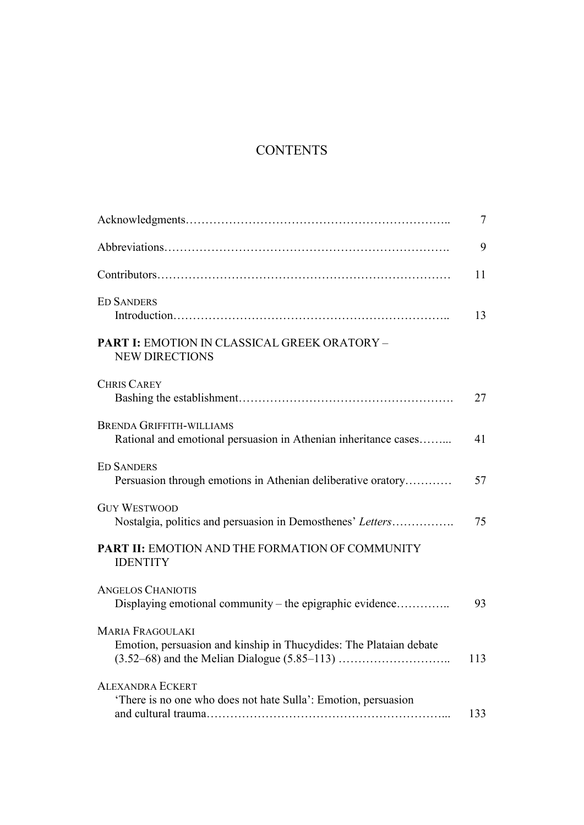## **CONTENTS**

|                                                                                                    | 7   |
|----------------------------------------------------------------------------------------------------|-----|
|                                                                                                    | 9   |
|                                                                                                    | 11  |
| <b>ED SANDERS</b>                                                                                  | 13  |
| <b>PART I: EMOTION IN CLASSICAL GREEK ORATORY -</b><br><b>NEW DIRECTIONS</b>                       |     |
| <b>CHRIS CAREY</b>                                                                                 | 27  |
| <b>BRENDA GRIFFITH-WILLIAMS</b><br>Rational and emotional persuasion in Athenian inheritance cases | 41  |
| <b>ED SANDERS</b><br>Persuasion through emotions in Athenian deliberative oratory                  | 57  |
| <b>GUY WESTWOOD</b><br>Nostalgia, politics and persuasion in Demosthenes' Letters                  | 75  |
| <b>PART II: EMOTION AND THE FORMATION OF COMMUNITY</b><br><b>IDENTITY</b>                          |     |
| <b>ANGELOS CHANIOTIS</b><br>Displaying emotional community – the epigraphic evidence               | 93  |
| <b>MARIA FRAGOULAKI</b><br>Emotion, persuasion and kinship in Thucydides: The Plataian debate      | 113 |
| <b>ALEXANDRA ECKERT</b><br>'There is no one who does not hate Sulla': Emotion, persuasion          | 133 |